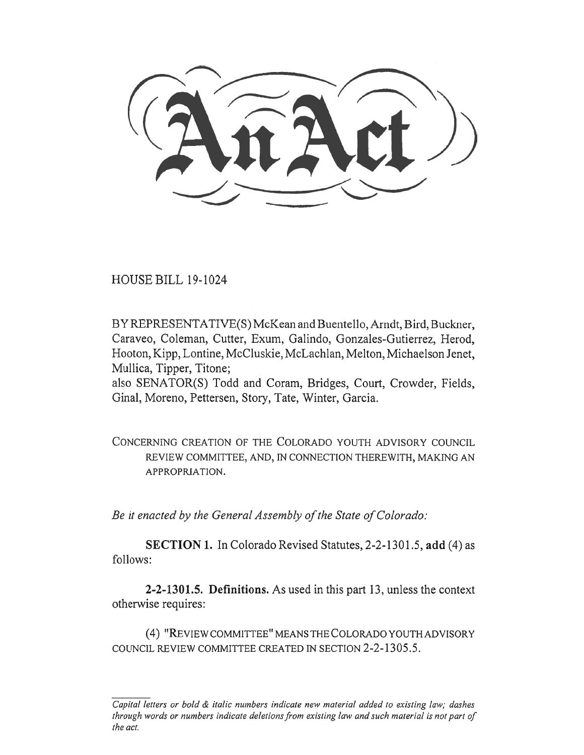HOUSE BILL 19-1024

BY REPRESENTATIVE(S) McKean and Buentello, Arndt, Bird, Buckner, Caraveo, Coleman, Cutter, Exum, Galindo, Gonzales-Gutierrez, Herod, Hooton, Kipp, Lontine, McCluskie, McLachlan, Melton, Michaelson Jenet, Mullica, Tipper, Titone;

also SENATOR(S) Todd and Coram, Bridges, Court, Crowder, Fields, Ginal, Moreno, Pettersen, Story, Tate, Winter, Garcia.

CONCERNING CREATION OF THE COLORADO YOUTH ADVISORY COUNCIL REVIEW COMMITTEE, AND, IN CONNECTION THEREWITH, MAKING AN APPROPRIATION.

*Be it enacted by the General Assembly of the State of Colorado:* 

**SECTION 1.** In Colorado Revised Statutes, 2-2-1301.5, **add** (4) as follows:

**2-2-1301.5. Definitions.** As used in this part 13, unless the context otherwise requires:

(4) "REVIEW COMMITTEE" MEANS THE COLORADO YOUTH ADVISORY COUNCIL REVIEW COMMITTEE CREATED IN SECTION 2-2-1305.5.

*Capital letters or bold & italic numbers indicate new material added to existing law; dashes through words or numbers indicate deletions from existing law and such material is not part of the act.*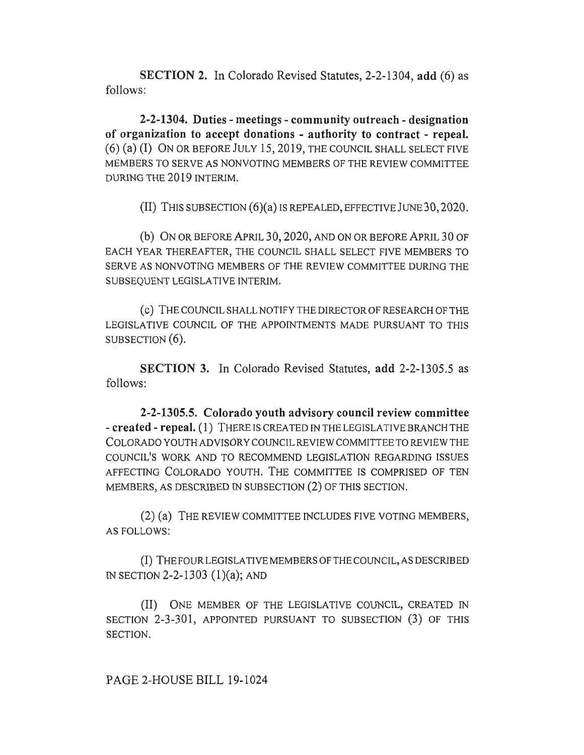**SECTION 2.** In Colorado Revised Statutes, 2-2-1304, **add** (6) as follows:

**2-2-1304. Duties - meetings - community outreach - designation of organization to accept donations - authority to contract - repeal.**  (6) (a) (I) ON OR BEFORE JULY 15, 2019, THE COUNCIL SHALL SELECT FIVE MEMBERS TO SERVE AS NONVOTING MEMBERS OF THE REVIEW COMMITTEE DURING THE 2019 INTERIM.

(II) THIS SUBSECTION (6)(a) IS REPEALED, EFFECTIVE JUNE 30, 2020.

(b) ON OR BEFORE APRIL 30, 2020, AND ON OR BEFORE APRIL 30 OF EACH YEAR THEREAFTER, THE COUNCIL SHALL SELECT FIVE MEMBERS TO SERVE AS NONVOTING MEMBERS OF THE REVIEW COMMITTEE DURING THE SUBSEQUENT LEGISLATIVE INTERIM.

(c) THE COUNCIL SHALL NOTIFY THE DIRECTOR OF RESEARCH OF THE LEGISLATIVE COUNCIL OF THE APPOINTMENTS MADE PURSUANT TO THIS SUBSECTION  $(6)$ .

**SECTION 3.** In Colorado Revised Statutes, **add** 2-2-1305.5 as follows:

**2-2-1305.5. Colorado youth advisory council review committee - created - repeal.** (1) THERE IS CREATED IN THE LEGISLATIVE BRANCH THE COLORADO YOUTH ADVISORY COUNCIL REVIEW COMMITTEE TO REVIEW THE COUNCIL'S WORK AND TO RECOMMEND LEGISLATION REGARDING ISSUES AFFECTING COLORADO YOUTH. THE COMMITTEE IS COMPRISED OF TEN MEMBERS, AS DESCRIBED IN SUBSECTION (2) OF THIS SECTION.

(2) (a) THE REVIEW COMMITTEE INCLUDES FIVE VOTING MEMBERS, AS FOLLOWS:

(I) THE FOUR LEGISLATIVE MEMBERS OF THE COUNCIL, AS DESCRIBED IN SECTION 2-2-1303 (1)(a); AND

(II) ONE MEMBER OF THE LEGISLATIVE COUNCIL, CREATED IN SECTION 2-3-301, APPOINTED PURSUANT TO SUBSECTION (3) OF THIS SECTION.

PAGE 2-HOUSE BILL 19-1024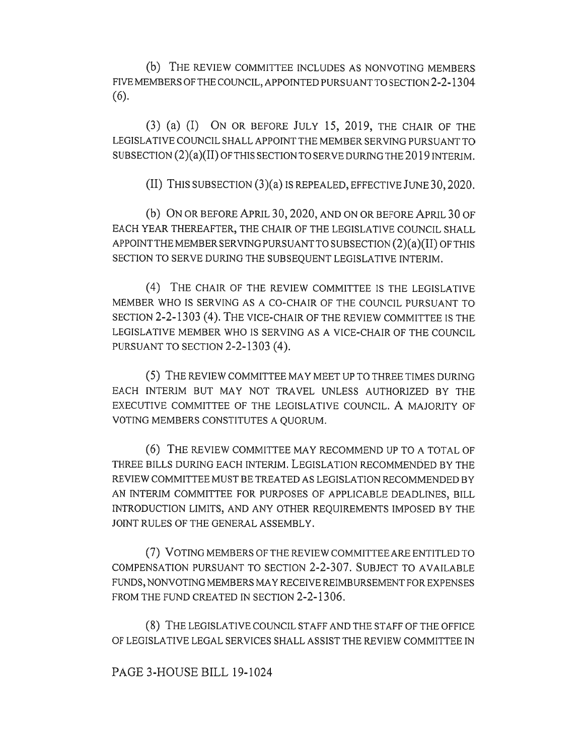(b) THE REVIEW COMMITTEE INCLUDES AS NONVOTING MEMBERS FIVE MEMBERS OF THE COUNCIL, APPOINTED PURSUANT TO SECTION 2-2-1304 (6).

(3) (a) (I) ON OR BEFORE JULY 15, 2019, THE CHAIR OF THE LEGISLATIVE COUNCIL SHALL APPOINT THE MEMBER SERVING PURSUANT TO SUBSECTION (2)(a)(II) OF THIS SECTION TO SERVE DURING THE 2019 INTERIM.

(II) THIS SUBSECTION (3)(a) IS REPEALED, EFFECTIVE JUNE 30, 2020.

(b) ON OR BEFORE APRIL 30, 2020, AND ON OR BEFORE APRIL 30 OF EACH YEAR THEREAFTER, THE CHAIR OF THE LEGISLATIVE COUNCIL SHALL APPOINT THE MEMBER SERVING PURSUANT TO SUBSECTION (2)(a)(II) OF THIS SECTION TO SERVE DURING THE SUBSEQUENT LEGISLATIVE INTERIM.

(4) THE CHAIR OF THE REVIEW COMMITTEE IS THE LEGISLATIVE MEMBER WHO IS SERVING AS A CO-CHAIR OF THE COUNCIL PURSUANT TO SECTION 2-2-1303 (4). THE VICE-CHAIR OF THE REVIEW COMMITTEE IS THE LEGISLATIVE MEMBER WHO IS SERVING AS A VICE-CHAIR OF THE COUNCIL PURSUANT TO SECTION 2-2-1303 (4).

(5) THE REVIEW COMMITTEE MAY MEET UP TO THREE TIMES DURING EACH INTERIM BUT MAY NOT TRAVEL UNLESS AUTHORIZED BY THE EXECUTIVE COMMITTEE OF THE LEGISLATIVE COUNCIL. A MAJORITY OF VOTING MEMBERS CONSTITUTES A QUORUM.

(6) THE REVIEW COMMITTEE MAY RECOMMEND UP TO A TOTAL OF THREE BILLS DURING EACH INTERIM. LEGISLATION RECOMMENDED BY THE REVIEW COMMITTEE MUST BE TREATED AS LEGISLATION RECOMMENDED BY AN INTERIM COMMITTEE FOR PURPOSES OF APPLICABLE DEADLINES, BILL INTRODUCTION LIMITS, AND ANY OTHER REQUIREMENTS IMPOSED BY THE JOINT RULES OF THE GENERAL ASSEMBLY.

(7) VOTING MEMBERS OF THE REVIEW COMMITTEE ARE ENTITLED TO COMPENSATION PURSUANT TO SECTION 2-2-307. SUBJECT TO AVAILABLE FUNDS, NONVOTING MEMBERS MAY RECEIVE REIMBURSEMENT FOR EXPENSES FROM THE FUND CREATED IN SECTION 2-2-1306.

(8) THE LEGISLATIVE COUNCIL STAFF AND THE STAFF OF THE OFFICE OF LEGISLATIVE LEGAL SERVICES SHALL ASSIST THE REVIEW COMMITTEE IN

PAGE 3-HOUSE BILL 19-1024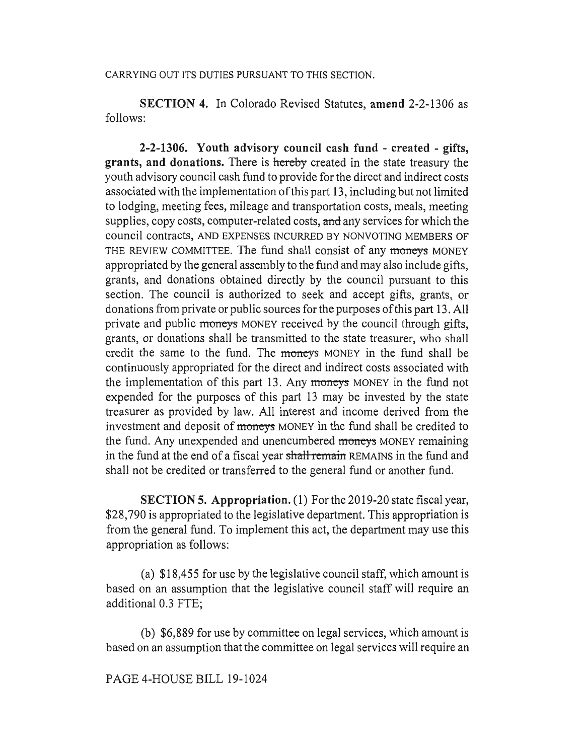## CARRYING OUT ITS DUTIES PURSUANT TO THIS SECTION.

**SECTION 4.** In Colorado Revised Statutes, **amend** 2-2-1306 as follows:

**2-2-1306. Youth advisory council cash fund - created - gifts, grants, and donations.** There is hereby created in the state treasury the youth advisory council cash fund to provide for the direct and indirect costs associated with the implementation of this part 13, including but not limited to lodging, meeting fees, mileage and transportation costs, meals, meeting supplies, copy costs, computer-related costs, and any services for which the council contracts, AND EXPENSES INCURRED BY NONVOTING MEMBERS OF THE REVIEW COMMITTEE. The fund shall consist of any moneys MONEY appropriated by the general assembly to the fund and may also include gifts, grants, and donations obtained directly by the council pursuant to this section. The council is authorized to seek and accept gifts, grants, or donations from private or public sources for the purposes of this part 13. All private and public moneys MONEY received by the council through gifts, grants, or donations shall be transmitted to the state treasurer, who shall credit the same to the fund. The moneys MONEY in the fund shall be continuously appropriated for the direct and indirect costs associated with the implementation of this part 13. Any moneys MONEY in the fund not expended for the purposes of this part 13 may be invested by the state treasurer as provided by law. All interest and income derived from the investment and deposit of moneys MONEY in the fund shall be credited to the fund. Any unexpended and unencumbered moneys MONEY remaining in the fund at the end of a fiscal year shall remain REMAINS in the fund and shall not be credited or transferred to the general fund or another fund.

**SECTION 5. Appropriation.** (1) For the 2019-20 state fiscal year, \$28,790 is appropriated to the legislative department. This appropriation is from the general fund. To implement this act, the department may use this appropriation as follows:

(a) \$18,455 for use by the legislative council staff, which amount is based on an assumption that the legislative council staff will require an additional 0.3 FTE;

(b) \$6,889 for use by committee on legal services, which amount is based on an assumption that the committee on legal services will require an

## PAGE 4-HOUSE BILL 19-1024